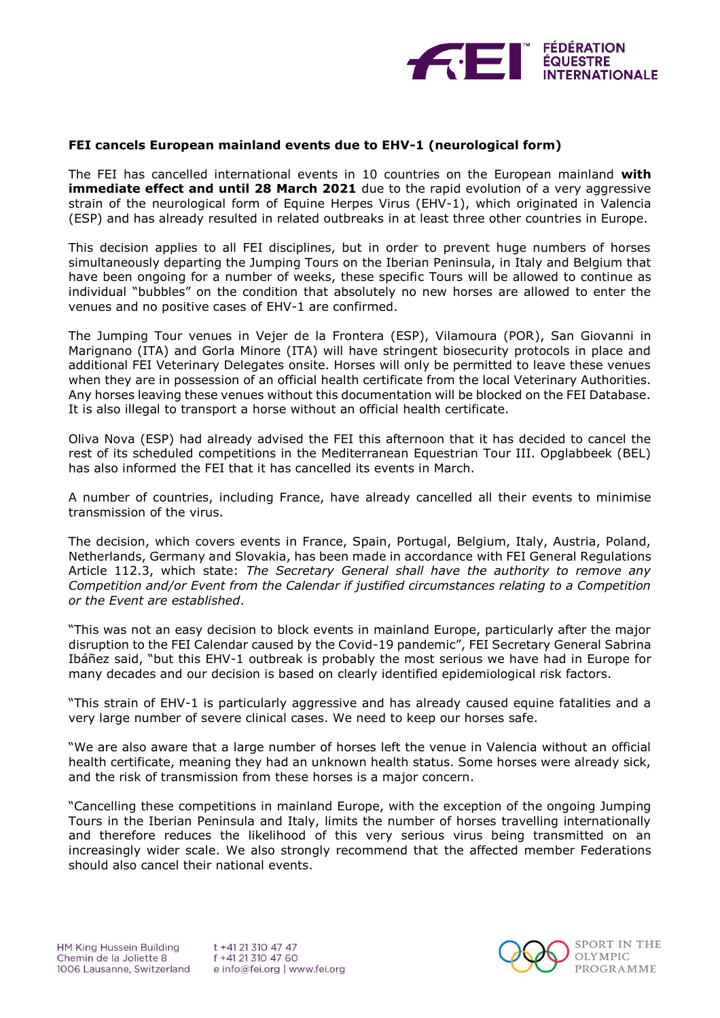

## **FEI cancels European mainland events due to EHV-1 (neurological form)**

The FEI has cancelled international events in 10 countries on the European mainland **with immediate effect and until 28 March 2021** due to the rapid evolution of a very aggressive strain of the neurological form of Equine Herpes Virus (EHV-1), which originated in Valencia (ESP) and has already resulted in related outbreaks in at least three other countries in Europe.

This decision applies to all FEI disciplines, but in order to prevent huge numbers of horses simultaneously departing the Jumping Tours on the Iberian Peninsula, in Italy and Belgium that have been ongoing for a number of weeks, these specific Tours will be allowed to continue as individual "bubbles" on the condition that absolutely no new horses are allowed to enter the venues and no positive cases of EHV-1 are confirmed.

The Jumping Tour venues in Vejer de la Frontera (ESP), Vilamoura (POR), San Giovanni in Marignano (ITA) and Gorla Minore (ITA) will have stringent biosecurity protocols in place and additional FEI Veterinary Delegates onsite. Horses will only be permitted to leave these venues when they are in possession of an official health certificate from the local Veterinary Authorities. Any horses leaving these venues without this documentation will be blocked on the FEI Database. It is also illegal to transport a horse without an official health certificate.

Oliva Nova (ESP) had already advised the FEI this afternoon that it has decided to cancel the rest of its scheduled competitions in the Mediterranean Equestrian Tour III. Opglabbeek (BEL) has also informed the FEI that it has cancelled its events in March.

A number of countries, including France, have already cancelled all their events to minimise transmission of the virus.

The decision, which covers events in France, Spain, Portugal, Belgium, Italy, Austria, Poland, Netherlands, Germany and Slovakia, has been made in accordance with FEI General Regulations Article 112.3, which state: *The Secretary General shall have the authority to remove any Competition and/or Event from the Calendar if justified circumstances relating to a Competition or the Event are established*.

"This was not an easy decision to block events in mainland Europe, particularly after the major disruption to the FEI Calendar caused by the Covid-19 pandemic", FEI Secretary General Sabrina Ibáñez said, "but this EHV-1 outbreak is probably the most serious we have had in Europe for many decades and our decision is based on clearly identified epidemiological risk factors.

"This strain of EHV-1 is particularly aggressive and has already caused equine fatalities and a very large number of severe clinical cases. We need to keep our horses safe.

"We are also aware that a large number of horses left the venue in Valencia without an official health certificate, meaning they had an unknown health status. Some horses were already sick, and the risk of transmission from these horses is a major concern.

"Cancelling these competitions in mainland Europe, with the exception of the ongoing Jumping Tours in the Iberian Peninsula and Italy, limits the number of horses travelling internationally and therefore reduces the likelihood of this very serious virus being transmitted on an increasingly wider scale. We also strongly recommend that the affected member Federations should also cancel their national events.

HM King Hussein Building Chemin de la Joliette 8 1006 Lausanne, Switzerland

t +41 21 310 47 47 f +41 21 310 47 60 e info@fei.org | www.fei.org